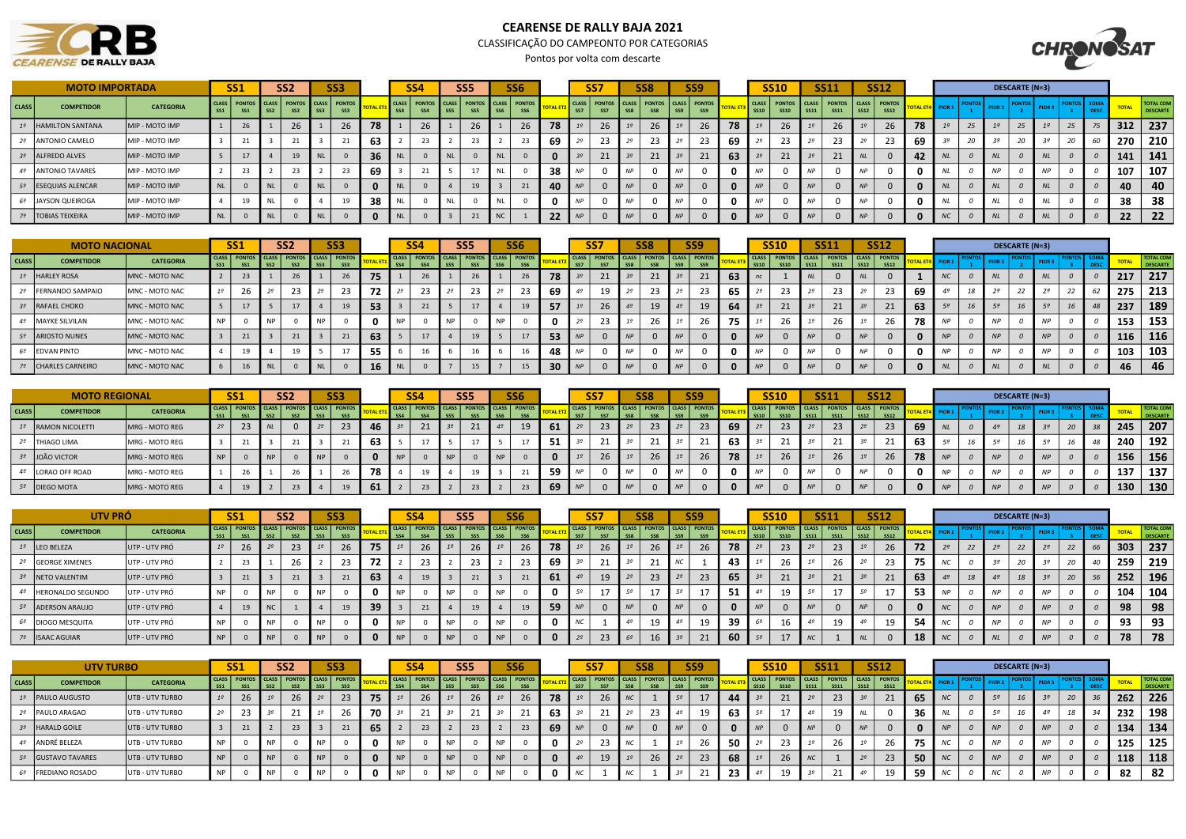## **CEARENSE DE RALLY BAJA**

## CEARENSE DE RALLY BAJA 2021

CLASSIFICAÇÃO DO CAMPEONTO POR CATEGORIAS

Pontos por volta com descarte



| SS <sub>3</sub><br>SS <sub>2</sub><br><b>MOTO IMPORTADA</b><br><b>SS1</b> |                        |                                                                                                                                                        |  |    |    |    |  |    |    |                 | SS4 |                 | <b>SS5</b> | SS <sub>6</sub>                                                     |    |     | SS7                                                     |    | SS <sub>8</sub> |               | <b>SS9</b> |     |             | <b>SS10</b>                           |             | <b>SS11</b>                  |             | <b>SS12</b>                   |    |                |    |                   | <b>DESCARTE (N=3)</b> |  |     |                              |
|---------------------------------------------------------------------------|------------------------|--------------------------------------------------------------------------------------------------------------------------------------------------------|--|----|----|----|--|----|----|-----------------|-----|-----------------|------------|---------------------------------------------------------------------|----|-----|---------------------------------------------------------|----|-----------------|---------------|------------|-----|-------------|---------------------------------------|-------------|------------------------------|-------------|-------------------------------|----|----------------|----|-------------------|-----------------------|--|-----|------------------------------|
| <b>CLASS</b>                                                              | <b>COMPETIDOR</b>      | CLASS   PONTOS   CLASS   PONTOS   CLASS   PONTOS<br><b>CATEGORIA</b><br><b>SS1</b><br>SS <sub>2</sub><br>$\sqrt{SS2}$<br>SS <sub>1</sub><br><b>SS3</b> |  |    |    |    |  |    |    | SS <sub>4</sub> | SS4 | SS <sub>5</sub> |            | CLASS   PONTOS   CLASS   PONTOS   CLASS   PONTOS<br>SS <sub>6</sub> |    | SS7 | CLASS   PONTOS   CLASS   PONTOS   CLASS   PONTOS<br>SS7 |    |                 | SS9           | SS9        |     | <b>SS10</b> | CLASS   PONTOS   CLASS<br><b>SS10</b> |             | <b>PONTOS</b><br><b>SS11</b> | <b>SS12</b> | CLASS   PONTOS<br><b>SS12</b> |    | $ $ PIOR 1 $ $ |    | PIOR <sub>2</sub> |                       |  |     | <b>TOTAL COM</b><br>DESCARTE |
|                                                                           | 1º HAMILTON SANTANA    | MIP - MOTO IMP                                                                                                                                         |  | 26 |    | 26 |  | 26 |    |                 | 26  |                 | 2b         | 26                                                                  | 78 |     | 26                                                      |    |                 |               | 26         | -78 |             |                                       |             | 26                           |             | 26                            | 78 |                | 25 |                   | 25                    |  | 312 | 237                          |
|                                                                           | <b>ANTONIO CAMELO</b>  | MIP - MOTO IMP                                                                                                                                         |  |    |    |    |  |    | 63 |                 |     |                 |            |                                                                     | פט |     | 23                                                      |    |                 |               | 23         | -69 |             | 23                                    |             |                              |             |                               | 69 |                |    |                   |                       |  | 270 | 210                          |
|                                                                           | 3º ALFREDO ALVES       | MIP - MOTO IMP                                                                                                                                         |  |    |    | 19 |  |    | 36 |                 |     |                 |            |                                                                     |    |     |                                                         |    |                 |               |            | 63  |             | 21                                    |             |                              |             |                               |    |                |    |                   |                       |  | 141 | 141                          |
|                                                                           | <b>ANTONIO TAVARES</b> | MIP - MOTO IMP                                                                                                                                         |  |    |    |    |  |    | 69 |                 |     |                 |            |                                                                     | 38 |     |                                                         |    |                 |               |            |     |             |                                       |             |                              |             |                               |    |                |    |                   |                       |  | 107 | 107                          |
|                                                                           | 5º ESEQUIAS ALENCAR    | MIP - MOTO IMP                                                                                                                                         |  |    |    |    |  |    |    |                 |     |                 |            |                                                                     |    |     |                                                         |    |                 |               |            |     |             |                                       | AD          |                              |             |                               |    |                |    |                   |                       |  | 40  | 40                           |
|                                                                           | 6º JAYSON QUEIROGA     | MIP - MOTO IMP                                                                                                                                         |  |    |    |    |  |    | 38 |                 |     |                 |            |                                                                     |    |     |                                                         |    |                 | <b>NP</b>     |            |     | <b>NP</b>   |                                       | <b>ND</b>   |                              |             |                               |    |                |    |                   |                       |  | 38  | 38                           |
|                                                                           | 7º   TOBIAS TEIXEIRA   | MIP - MOTO IMP                                                                                                                                         |  |    | NL |    |  |    |    |                 |     |                 |            |                                                                     |    |     |                                                         | NP |                 | $\mathsf{NP}$ |            |     | AD          |                                       | $\triangle$ |                              | MD          |                               |    |                |    |                   |                       |  | 22  | 22                           |

|                    | <b>MOTO NACIONAL</b>    | SS <sub>2</sub><br>SS <sub>3</sub><br><b>SS1</b><br>CLASS PONTOS CLASS PONTOS CLASS PONTOS |           |    |  |           |    |           |    |     |                 | <b>SS4</b>                              | SS <sub>5</sub> | <b>SS6</b>                  |     |            | SS <sub>7</sub>                 | <b>SS8</b> | SS <sub>9</sub>            |     | SS10                                             | <b>SS11</b> | <b>SS12</b>      |     |           |    |                   | DESCARTE (N=3) |            |  |     |                              |
|--------------------|-------------------------|--------------------------------------------------------------------------------------------|-----------|----|--|-----------|----|-----------|----|-----|-----------------|-----------------------------------------|-----------------|-----------------------------|-----|------------|---------------------------------|------------|----------------------------|-----|--------------------------------------------------|-------------|------------------|-----|-----------|----|-------------------|----------------|------------|--|-----|------------------------------|
| CLASS <sup>I</sup> | <b>COMPETIDOR</b>       | <b>CATEGORIA</b>                                                                           |           |    |  |           |    |           |    |     | SS <sub>4</sub> | CLASS   PONTOS   CLASS   PONTOS   CLASS |                 | <b>PONTOS</b><br><b>CCC</b> |     | <b>SS7</b> | CLASS   PONTOS   CLASS   PONTOS |            | CLASS PONTOS<br><b>SSI</b> |     | CLASS   PONTOS   CLASS   PONTOS   CLASS   PONTOS |             | SS <sub>12</sub> |     | 4 PIOR:   |    | PIOR <sub>2</sub> |                | PIOL       |  |     | <b>TOTAL COM</b><br>DESCARTI |
|                    | 1º HARLEY ROSA          | MNC - MOTO NAC                                                                             |           | 23 |  |           |    |           |    | 75  |                 |                                         |                 | 26                          | 78  |            | 21                              |            |                            | 63  |                                                  |             |                  |     | <b>NC</b> |    |                   |                |            |  | 217 | 217                          |
|                    | <b>FERNANDO SAMPAIO</b> | <b>IMNC - MOTO NAC</b>                                                                     |           | 26 |  |           | 23 |           | 23 | 72  |                 | 23                                      |                 | 23                          | 69  |            | ᆚ                               |            | 23                         | -65 |                                                  | 23          |                  | -69 |           | 18 |                   | $\epsilon$     |            |  | 275 | 213                          |
|                    | 3º RAFAEL CHOKO         | MNC - MOTO NAC                                                                             |           | 17 |  |           |    |           |    | -53 |                 | $\sim$                                  |                 |                             | -57 |            | 26                              | 19         |                            | -64 | 21                                               | 21          | 21               | 63  |           | 16 |                   |                |            |  | 237 | 189                          |
|                    | MAYKE SILVILAN          | MNC - MOTO NAC                                                                             | <b>NP</b> |    |  | <b>NP</b> |    | <b>NP</b> |    |     | <b>NP</b>       |                                         |                 |                             |     |            | 23                              | 2b.        |                            | -75 | -40                                              | 26          | 26               | -78 | <b>NP</b> |    |                   |                |            |  | 153 | 153                          |
| $52 -$             | ARIOSTO NUNES           | MNC - MOTO NAC                                                                             |           | 21 |  |           | 21 |           |    | 63  |                 |                                         |                 |                             | 53  |            |                                 |            |                            |     |                                                  |             |                  |     | <b>NP</b> |    | <b>NP</b>         |                |            |  | 116 | 116                          |
|                    | <b>EDVAN PINTO</b>      | MNC - MOTO NAC                                                                             |           | 19 |  |           |    |           |    | -55 |                 |                                         |                 |                             |     |            |                                 |            |                            |     |                                                  |             |                  |     | <b>NP</b> |    |                   |                |            |  | 103 | 103                          |
|                    | 7º CHARLES CARNEIRO     | MNC - MOTO NAC                                                                             |           | 16 |  |           |    |           |    | 16  | <b>NL</b>       |                                         |                 | 15                          |     |            |                                 |            |                            | n   |                                                  | $\Omega$    |                  | n   | <b>NL</b> |    | NI                |                | <b>AII</b> |  | 46. | -46                          |

|                    | <b>MOTO REGIONAL</b>     |                  |    | <b>SS1</b> |    | SS <sub>2</sub> | SS <sub>3</sub>                                      |    | <b>SS4</b>   | SS <sub>5</sub>                                  | SS <sub>6</sub> |     |            | SS7                                              |   | SS <sub>8</sub> |           | SS <sub>9</sub> |    |    | <b>SS10</b> |    | <b>SS11</b> |    | <b>SS12</b>                                                  |          |                  |                   | <b>DESCARTE (N=3)</b> |                 |    |       |                             |
|--------------------|--------------------------|------------------|----|------------|----|-----------------|------------------------------------------------------|----|--------------|--------------------------------------------------|-----------------|-----|------------|--------------------------------------------------|---|-----------------|-----------|-----------------|----|----|-------------|----|-------------|----|--------------------------------------------------------------|----------|------------------|-------------------|-----------------------|-----------------|----|-------|-----------------------------|
| CLASS <sup>I</sup> | <b>COMPETIDOR</b>        | <b>CATEGORIA</b> |    | SC1        |    |                 | CLASS PONTOS CLASS PONTOS CLASS PONTOS<br><b>CC2</b> |    |              | CLASS   PONTOS   CLASS   PONTOS   CLASS   PONTOS |                 |     |            | CLASS   PONTOS   CLASS   PONTOS   CLASS   PONTOS |   |                 |           |                 |    |    |             |    |             |    | CLASS   PONTOS   CLASS   PONTOS   CLASS   PONTOS  <br>\$\$12 |          | <b>T4 PIOR 1</b> | PIOR <sub>2</sub> |                       |                 |    |       | <b>TOTAL COM</b><br>DESCART |
|                    | RAMON NICOLETTI          | MRG - MOTO REG   |    | 23         |    |                 | 23                                                   |    | 21           |                                                  | 19              | 61  |            | 23                                               |   | 23.             |           | 23              | 69 |    | 23          |    | 23          |    | 23                                                           | 69       |                  |                   | 10                    |                 | 20 | 245   | 207                         |
|                    | <sup>2</sup> THIAGO LIMA | MRG - MOTO REG   |    |            |    |                 |                                                      | 63 |              |                                                  |                 | -51 |            | 21                                               |   |                 |           |                 | 63 |    | -4          |    |             |    | -4                                                           | 63       |                  |                   |                       |                 |    | 240 l | 192                         |
|                    | 3º JOÃO VICTOR           | MRG - MOTO REG   | NP |            | NP |                 |                                                      |    |              |                                                  |                 |     |            | 26                                               |   |                 |           | 26              | 78 |    | 26          |    | 26          |    | 26                                                           | 78       | <b>NP</b>        |                   |                       |                 |    | 156   | 156                         |
|                    | LORAO OFF ROAD           | MRG - MOTO REG   |    |            |    |                 |                                                      |    |              |                                                  |                 |     | $\Delta I$ |                                                  |   |                 | <b>NP</b> |                 |    |    |             |    |             |    |                                                              |          | <b>NP</b>        |                   |                       |                 |    | 137   | 137                         |
|                    | 5º DIEGO MOTA            | MRG - MOTO REG   |    | 19         |    | 23              | 1 <sup>g</sup>                                       | 61 | $\mathbf{a}$ | 23                                               | 23              | 69  | NP         |                                                  | N |                 | NP        |                 | n  | NP |             | NP |             | NP |                                                              | $\Omega$ | <b>NP</b>        | <b>NP</b>         |                       | $\overline{AB}$ |    | 130   | 130                         |

|       | UTV PRÓ                  |                  |     | <b>SS1</b><br>SS <sub>3</sub><br>SS <sub>2</sub><br>CLASS PONTOS CLASS PONTOS CLASS PONTOS |            |        |           |  |      | <b>SS4</b> |                                        | <b>SS5</b> |  | SS <sub>6</sub> |    |            | <b>SS7</b>      | SS <sub>8</sub> | SS <sub>9</sub>                                  |    | <b>SS10</b> | <b>SS11</b>                            |    | <b>SS12</b> |                  |                         |                |       | <b>DESCARTE (N=3)</b> |    |          |    |     |                              |
|-------|--------------------------|------------------|-----|--------------------------------------------------------------------------------------------|------------|--------|-----------|--|------|------------|----------------------------------------|------------|--|-----------------|----|------------|-----------------|-----------------|--------------------------------------------------|----|-------------|----------------------------------------|----|-------------|------------------|-------------------------|----------------|-------|-----------------------|----|----------|----|-----|------------------------------|
| CLASS | <b>COMPETIDOR</b>        | <b>CATEGORIA</b> | SC1 | CC1                                                                                        |            |        |           |  |      |            | CLASS PONTOS CLASS PONTOS CLASS PONTOS |            |  |                 |    |            |                 |                 | CLASS   PONTOS   CLASS   PONTOS   CLASS   PONTOS |    |             | CLASS PONTOS CLASS PONTOS CLASS PONTOS |    | CC12        | SS <sub>12</sub> | <b>TOTAL ET4</b> PIOR 1 |                |       | PIOR <sub>2</sub>     |    | PIOR 3   |    |     | <b>TOTAL COM</b><br>DESCARTI |
| 19    | LEO BELEZA               | UTP - UTV PRÓ    |     | 26                                                                                         |            | 23     |           |  |      |            | 26                                     |            |  |                 | zb |            |                 | 26              | 2b                                               | 26 | 78          | -43                                    | 23 |             | 26               | 72                      |                | $\mu$ |                       | 22 |          | 22 | 303 | 237                          |
|       | 2º GEORGE XIMENES        | UTP - UTV PRÓ    |     |                                                                                            |            | $\sim$ |           |  | - 72 |            | 23                                     |            |  |                 |    |            |                 |                 |                                                  |    | 43          |                                        |    |             | -23              | 75                      |                |       |                       |    |          |    | 259 | 219                          |
|       | 3º NETO VALENTIM         | UTP - UTV PRÓ    |     | $\sim$                                                                                     |            | $\sim$ |           |  | 63   |            | 19                                     |            |  |                 |    | <b>D</b> T |                 | 19              |                                                  | 23 | 65          | $\angle$                               |    |             | 21               | 63                      |                |       |                       | 18 |          |    | 252 | 196                          |
|       | <b>HERONALDO SEGUNDO</b> | UTP - UTV PRÓ    |     |                                                                                            | <b>AID</b> |        |           |  |      | NP         |                                        |            |  |                 |    |            | 50 <sub>o</sub> |                 |                                                  |    | -51         |                                        |    |             |                  | - 53                    | <b>AID</b>     |       |                       |    |          |    | 104 | 104                          |
|       | 5º ADERSON ARAUJO        | UTP - UTV PRÓ    |     |                                                                                            |            |        |           |  | 39   |            | 24<br>-41                              |            |  |                 |    |            |                 |                 |                                                  |    |             |                                        |    |             |                  |                         | N <sub>C</sub> |       |                       |    |          |    | 98  | 98                           |
|       | 6º DIOGO MESQUITA        | UTP - UTV PRÓ    |     |                                                                                            | <b>ND</b>  |        | <b>ND</b> |  |      | <b>NP</b>  |                                        | <b>NP</b>  |  | <b>AID</b>      |    |            | NC <sup>-</sup> |                 |                                                  | 19 | -39         |                                        | 19 |             |                  | 54                      | $\overline{M}$ |       | $\cdots$              |    | $\cdots$ |    | 93  | 93                           |
|       | 7º ISAAC AGUIAR          | UTP - UTV PRÓ    |     |                                                                                            |            |        |           |  |      | <b>NP</b>  |                                        |            |  |                 |    |            |                 | 23              |                                                  | 21 | -60         |                                        |    |             |                  | 18                      | N <sub>C</sub> |       | $\overline{M}$        |    |          |    |     | 78                           |

|       |                    | <b>SS1</b><br>SS <sub>3</sub><br>SS <sub>2</sub><br><b>UTV TURBO</b> |           |     |           |    |  |                                               |     |     |                                                         | SS <sub>5</sub> | <b>SS6</b> |      | SS7                                    | SS <sub>8</sub> | SS <sub>9</sub> |    | <b>SS10</b>                                      |    | <b>SS11</b> |             | <b>SS12</b> |                  |                |                   | <b>DESCARTE (N=3)</b> |    |     |                              |
|-------|--------------------|----------------------------------------------------------------------|-----------|-----|-----------|----|--|-----------------------------------------------|-----|-----|---------------------------------------------------------|-----------------|------------|------|----------------------------------------|-----------------|-----------------|----|--------------------------------------------------|----|-------------|-------------|-------------|------------------|----------------|-------------------|-----------------------|----|-----|------------------------------|
| CLASS | <b>COMPETIDOR</b>  | <b>CATEGORIA</b>                                                     |           |     |           |    |  | <b>CLASS PONTOS CLASS PONTOS CLASS PONTOS</b> |     | SS4 | CLASS   PONTOS   CLASS   PONTOS   CLASS   PONTOS<br>SS4 |                 |            |      | CLASS PONTOS CLASS PONTOS CLASS PONTOS |                 | SS <sub>9</sub> |    | CLASS   PONTOS   CLASS   PONTOS   CLASS   PONTOS |    | <b>SS11</b> | <b>SS12</b> | <b>SS12</b> | TOTAL ET4 PIOR 1 |                | PIOR <sub>2</sub> |                       |    |     | <b>TOTAL COM</b><br>DESCARTE |
|       | 1º   PAULO AUGUSTO | UTB - UTV TURBO                                                      |           | Zb. |           | 26 |  | 23                                            |     |     |                                                         |                 | <b>26</b>  | 78   |                                        |                 |                 | 44 | -21                                              |    | 23          |             | 21          | 65               |                | 50                |                       | 20 | 262 | 226                          |
|       | PAULO ARAGAO       | UTB - UTV TURBO                                                      |           |     |           |    |  |                                               | 70  |     |                                                         |                 |            | - 63 |                                        | 23              |                 | 63 |                                                  | 49 | 19          |             |             | 36               |                |                   |                       |    | 232 | 198                          |
|       | 3º HARALD GOILE    | UTB - UTV TURBO                                                      |           | 21  |           |    |  |                                               | 65. |     | 23                                                      | 23              |            | -69  |                                        |                 |                 |    |                                                  |    |             |             |             |                  |                | <b>NP</b>         |                       |    | 134 | 134                          |
|       | 4º ANDRÉ BELEZA    | UTB - UTV TURBO                                                      | <b>NP</b> |     | NF        |    |  |                                               |     |     |                                                         |                 |            |      | 23                                     |                 | zb              | 50 | 23                                               | 19 |             |             |             | -75              |                |                   |                       |    | 125 | 125                          |
|       | 5º GUSTAVO TAVARES | UTB - UTV TURBO                                                      | <b>NP</b> |     | <b>NP</b> |    |  |                                               |     |     |                                                         |                 |            |      |                                        | 26              | 23              | 68 | ZD.                                              |    |             |             | 23          | 50               | $\overline{M}$ | <b>NP</b>         |                       |    | 118 | 118                          |
|       | 6º FREDIANO ROSADO | UTB - UTV TURBO                                                      | <b>NP</b> |     | <b>NF</b> |    |  |                                               |     |     |                                                         |                 |            |      |                                        |                 |                 | 23 |                                                  |    |             |             |             | 59               |                |                   |                       |    | 82  | 82                           |